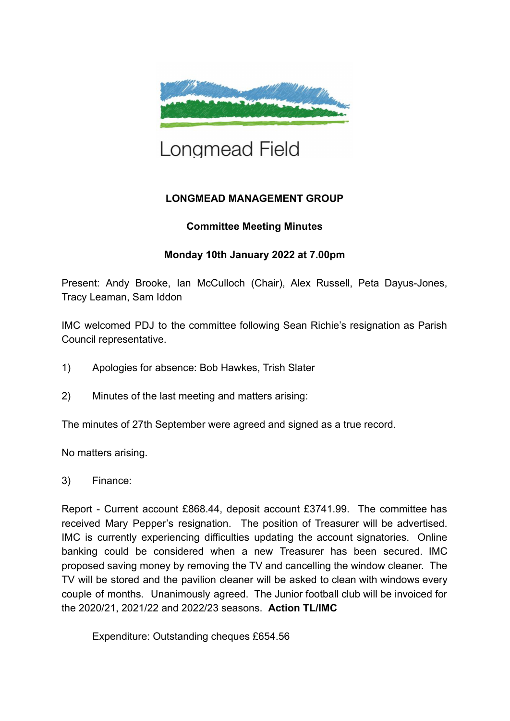

# Longmead Field

# **LONGMEAD MANAGEMENT GROUP**

# **Committee Meeting Minutes**

# **Monday 10th January 2022 at 7.00pm**

Present: Andy Brooke, Ian McCulloch (Chair), Alex Russell, Peta Dayus-Jones, Tracy Leaman, Sam Iddon

IMC welcomed PDJ to the committee following Sean Richie's resignation as Parish Council representative.

- 1) Apologies for absence: Bob Hawkes, Trish Slater
- 2) Minutes of the last meeting and matters arising:

The minutes of 27th September were agreed and signed as a true record.

No matters arising.

# 3) Finance:

Report - Current account £868.44, deposit account £3741.99. The committee has received Mary Pepper's resignation. The position of Treasurer will be advertised. IMC is currently experiencing difficulties updating the account signatories. Online banking could be considered when a new Treasurer has been secured. IMC proposed saving money by removing the TV and cancelling the window cleaner. The TV will be stored and the pavilion cleaner will be asked to clean with windows every couple of months. Unanimously agreed. The Junior football club will be invoiced for the 2020/21, 2021/22 and 2022/23 seasons. **Action TL/IMC**

Expenditure: Outstanding cheques £654.56